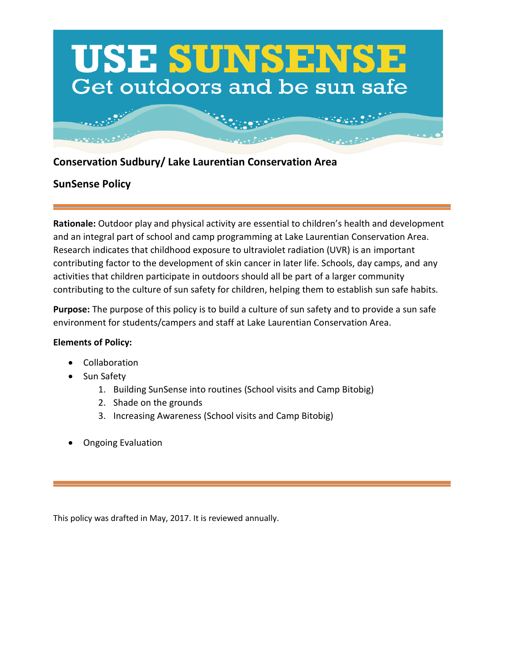

# **Conservation Sudbury/ Lake Laurentian Conservation Area**

## **SunSense Policy**

**Rationale:** Outdoor play and physical activity are essential to children's health and development and an integral part of school and camp programming at Lake Laurentian Conservation Area. Research indicates that childhood exposure to ultraviolet radiation (UVR) is an important contributing factor to the development of skin cancer in later life. Schools, day camps, and any activities that children participate in outdoors should all be part of a larger community contributing to the culture of sun safety for children, helping them to establish sun safe habits.

**Purpose:** The purpose of this policy is to build a culture of sun safety and to provide a sun safe environment for students/campers and staff at Lake Laurentian Conservation Area.

#### **Elements of Policy:**

- Collaboration
- Sun Safety
	- 1. Building SunSense into routines (School visits and Camp Bitobig)
	- 2. Shade on the grounds
	- 3. Increasing Awareness (School visits and Camp Bitobig)
- Ongoing Evaluation

This policy was drafted in May, 2017. It is reviewed annually.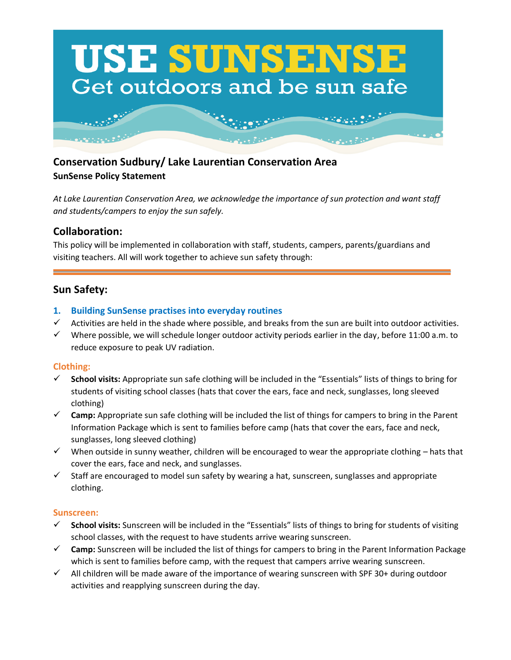

# **Conservation Sudbury/ Lake Laurentian Conservation Area SunSense Policy Statement**

*At Lake Laurentian Conservation Area, we acknowledge the importance of sun protection and want staff and students/campers to enjoy the sun safely.* 

## **Collaboration:**

This policy will be implemented in collaboration with staff, students, campers, parents/guardians and visiting teachers. All will work together to achieve sun safety through:

## **Sun Safety:**

#### **1. Building SunSense practises into everyday routines**

- $\checkmark$  Activities are held in the shade where possible, and breaks from the sun are built into outdoor activities.
- $\checkmark$  Where possible, we will schedule longer outdoor activity periods earlier in the day, before 11:00 a.m. to reduce exposure to peak UV radiation.

#### **Clothing:**

- School visits: Appropriate sun safe clothing will be included in the "Essentials" lists of things to bring for students of visiting school classes (hats that cover the ears, face and neck, sunglasses, long sleeved clothing)
- ✓ **Camp:** Appropriate sun safe clothing will be included the list of things for campers to bring in the Parent Information Package which is sent to families before camp (hats that cover the ears, face and neck, sunglasses, long sleeved clothing)
- $\checkmark$  When outside in sunny weather, children will be encouraged to wear the appropriate clothing hats that cover the ears, face and neck, and sunglasses.
- $\checkmark$  Staff are encouraged to model sun safety by wearing a hat, sunscreen, sunglasses and appropriate clothing.

#### **Sunscreen:**

- ✓ **School visits:** Sunscreen will be included in the "Essentials" lists of things to bring for students of visiting school classes, with the request to have students arrive wearing sunscreen.
- ✓ **Camp:** Sunscreen will be included the list of things for campers to bring in the Parent Information Package which is sent to families before camp, with the request that campers arrive wearing sunscreen.
- $\checkmark$  All children will be made aware of the importance of wearing sunscreen with SPF 30+ during outdoor activities and reapplying sunscreen during the day.